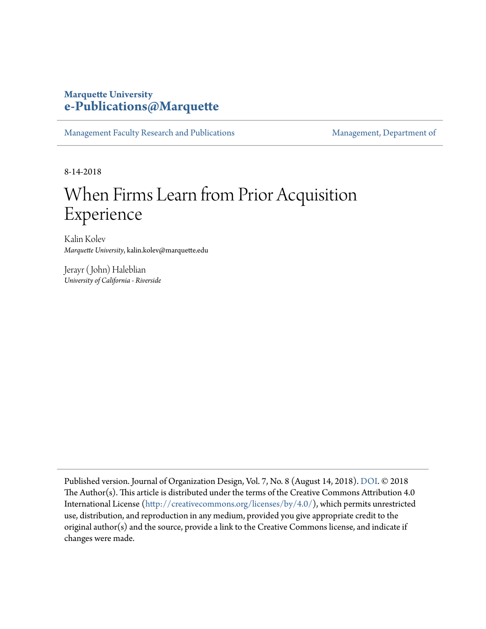## **Marquette University [e-Publications@Marquette](https://epublications.marquette.edu)**

[Management Faculty Research and Publications](https://epublications.marquette.edu/mgmt_fac) [Management, Department of](https://epublications.marquette.edu/mgmt)

8-14-2018

# When Firms Learn from Prior Acquisition Experience

Kalin Kolev *Marquette University*, kalin.kolev@marquette.edu

Jerayr (John) Haleblian *University of California - Riverside*

Published version. Journal of Organization Design, Vol. 7, No. 8 (August 14, 2018). [DOI.](https://doi.org/10.1186/s41469-018-0032-7) © 2018 The Author(s). This article is distributed under the terms of the Creative Commons Attribution 4.0 International License [\(http://creativecommons.org/licenses/by/4.0/\)](http://creativecommons.org/licenses/by/4.0/), which permits unrestricted use, distribution, and reproduction in any medium, provided you give appropriate credit to the original author(s) and the source, provide a link to the Creative Commons license, and indicate if changes were made.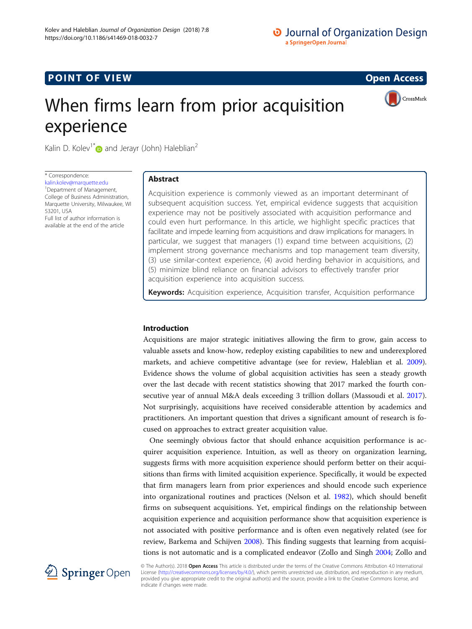### **POINT OF VIEW CONSULTERING THE CONSULTANT OF VIEW CONSULTANT OF ACCESS**



# When firms learn from prior acquisition experience

Kalin D. Kolev<sup>1[\\*](http://orcid.org/0000-0003-0930-4281)</sup> and Jerayr (John) Haleblian<sup>2</sup>

\* Correspondence: [kalin.kolev@marquette.edu](mailto:kalin.kolev@marquette.edu) <sup>1</sup> Department of Management, College of Business Administration, Marquette University, Milwaukee, WI 53201, USA Full list of author information is available at the end of the article

#### Abstract

Acquisition experience is commonly viewed as an important determinant of subsequent acquisition success. Yet, empirical evidence suggests that acquisition experience may not be positively associated with acquisition performance and could even hurt performance. In this article, we highlight specific practices that facilitate and impede learning from acquisitions and draw implications for managers. In particular, we suggest that managers (1) expand time between acquisitions, (2) implement strong governance mechanisms and top management team diversity, (3) use similar-context experience, (4) avoid herding behavior in acquisitions, and (5) minimize blind reliance on financial advisors to effectively transfer prior acquisition experience into acquisition success.

Keywords: Acquisition experience, Acquisition transfer, Acquisition performance

#### Introduction

Acquisitions are major strategic initiatives allowing the firm to grow, gain access to valuable assets and know-how, redeploy existing capabilities to new and underexplored markets, and achieve competitive advantage (see for review, Haleblian et al. [2009](#page-6-0)). Evidence shows the volume of global acquisition activities has seen a steady growth over the last decade with recent statistics showing that 2017 marked the fourth consecutive year of annual M&A deals exceeding 3 trillion dollars (Massoudi et al. [2017](#page-7-0)). Not surprisingly, acquisitions have received considerable attention by academics and practitioners. An important question that drives a significant amount of research is focused on approaches to extract greater acquisition value.

One seemingly obvious factor that should enhance acquisition performance is acquirer acquisition experience. Intuition, as well as theory on organization learning, suggests firms with more acquisition experience should perform better on their acquisitions than firms with limited acquisition experience. Specifically, it would be expected that firm managers learn from prior experiences and should encode such experience into organizational routines and practices (Nelson et al. [1982](#page-7-0)), which should benefit firms on subsequent acquisitions. Yet, empirical findings on the relationship between acquisition experience and acquisition performance show that acquisition experience is not associated with positive performance and is often even negatively related (see for review, Barkema and Schijven [2008\)](#page-6-0). This finding suggests that learning from acquisitions is not automatic and is a complicated endeavor (Zollo and Singh [2004;](#page-7-0) Zollo and



© The Author(s). 2018 Open Access This article is distributed under the terms of the Creative Commons Attribution 4.0 International License [\(http://creativecommons.org/licenses/by/4.0/](http://creativecommons.org/licenses/by/4.0/)), which permits unrestricted use, distribution, and reproduction in any medium, provided you give appropriate credit to the original author(s) and the source, provide a link to the Creative Commons license, and indicate if changes were made.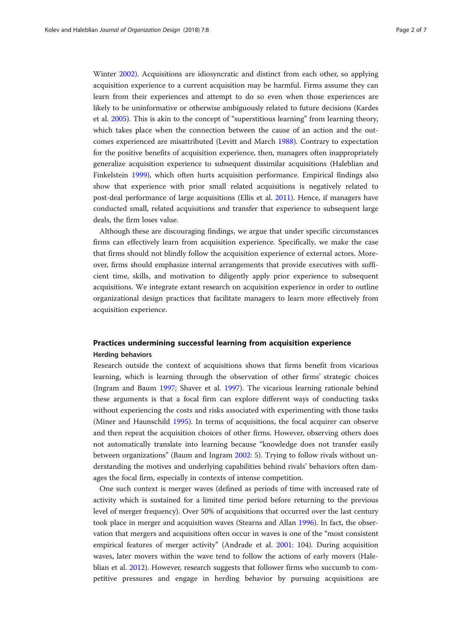Winter [2002](#page-7-0)). Acquisitions are idiosyncratic and distinct from each other, so applying acquisition experience to a current acquisition may be harmful. Firms assume they can learn from their experiences and attempt to do so even when those experiences are likely to be uninformative or otherwise ambiguously related to future decisions (Kardes et al. [2005\)](#page-7-0). This is akin to the concept of "superstitious learning" from learning theory, which takes place when the connection between the cause of an action and the outcomes experienced are misattributed (Levitt and March [1988\)](#page-7-0). Contrary to expectation for the positive benefits of acquisition experience, then, managers often inappropriately generalize acquisition experience to subsequent dissimilar acquisitions (Haleblian and Finkelstein [1999\)](#page-6-0), which often hurts acquisition performance. Empirical findings also show that experience with prior small related acquisitions is negatively related to post-deal performance of large acquisitions (Ellis et al. [2011](#page-6-0)). Hence, if managers have conducted small, related acquisitions and transfer that experience to subsequent large deals, the firm loses value.

Although these are discouraging findings, we argue that under specific circumstances firms can effectively learn from acquisition experience. Specifically, we make the case that firms should not blindly follow the acquisition experience of external actors. Moreover, firms should emphasize internal arrangements that provide executives with sufficient time, skills, and motivation to diligently apply prior experience to subsequent acquisitions. We integrate extant research on acquisition experience in order to outline organizational design practices that facilitate managers to learn more effectively from acquisition experience.

### Practices undermining successful learning from acquisition experience Herding behaviors

Research outside the context of acquisitions shows that firms benefit from vicarious learning, which is learning through the observation of other firms' strategic choices (Ingram and Baum [1997](#page-7-0); Shaver et al. [1997\)](#page-7-0). The vicarious learning rationale behind these arguments is that a focal firm can explore different ways of conducting tasks without experiencing the costs and risks associated with experimenting with those tasks (Miner and Haunschild [1995\)](#page-7-0). In terms of acquisitions, the focal acquirer can observe and then repeat the acquisition choices of other firms. However, observing others does not automatically translate into learning because "knowledge does not transfer easily between organizations" (Baum and Ingram [2002](#page-6-0): 5). Trying to follow rivals without understanding the motives and underlying capabilities behind rivals' behaviors often damages the focal firm, especially in contexts of intense competition.

One such context is merger waves (defined as periods of time with increased rate of activity which is sustained for a limited time period before returning to the previous level of merger frequency). Over 50% of acquisitions that occurred over the last century took place in merger and acquisition waves (Stearns and Allan [1996](#page-7-0)). In fact, the observation that mergers and acquisitions often occur in waves is one of the "most consistent empirical features of merger activity" (Andrade et al. [2001](#page-6-0): 104). During acquisition waves, later movers within the wave tend to follow the actions of early movers (Haleblian et al. [2012\)](#page-6-0). However, research suggests that follower firms who succumb to competitive pressures and engage in herding behavior by pursuing acquisitions are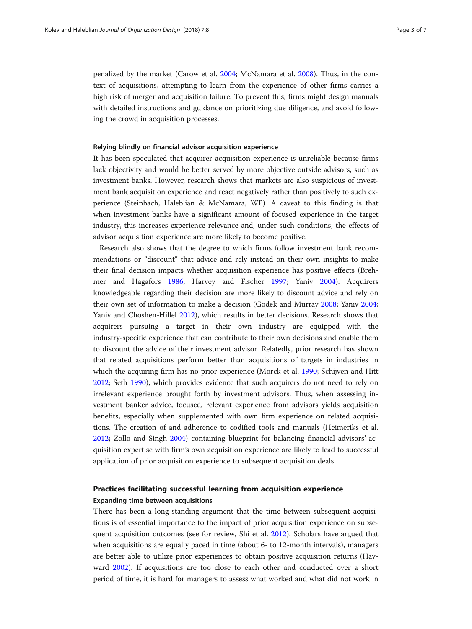penalized by the market (Carow et al. [2004;](#page-6-0) McNamara et al. [2008\)](#page-7-0). Thus, in the context of acquisitions, attempting to learn from the experience of other firms carries a high risk of merger and acquisition failure. To prevent this, firms might design manuals with detailed instructions and guidance on prioritizing due diligence, and avoid following the crowd in acquisition processes.

#### Relying blindly on financial advisor acquisition experience

It has been speculated that acquirer acquisition experience is unreliable because firms lack objectivity and would be better served by more objective outside advisors, such as investment banks. However, research shows that markets are also suspicious of investment bank acquisition experience and react negatively rather than positively to such experience (Steinbach, Haleblian & McNamara, WP). A caveat to this finding is that when investment banks have a significant amount of focused experience in the target industry, this increases experience relevance and, under such conditions, the effects of advisor acquisition experience are more likely to become positive.

Research also shows that the degree to which firms follow investment bank recommendations or "discount" that advice and rely instead on their own insights to make their final decision impacts whether acquisition experience has positive effects (Brehmer and Hagafors [1986](#page-6-0); Harvey and Fischer [1997;](#page-6-0) Yaniv [2004\)](#page-7-0). Acquirers knowledgeable regarding their decision are more likely to discount advice and rely on their own set of information to make a decision (Godek and Murray [2008;](#page-6-0) Yaniv [2004](#page-7-0); Yaniv and Choshen-Hillel [2012](#page-7-0)), which results in better decisions. Research shows that acquirers pursuing a target in their own industry are equipped with the industry-specific experience that can contribute to their own decisions and enable them to discount the advice of their investment advisor. Relatedly, prior research has shown that related acquisitions perform better than acquisitions of targets in industries in which the acquiring firm has no prior experience (Morck et al. [1990](#page-7-0); Schijven and Hitt [2012](#page-7-0); Seth [1990](#page-7-0)), which provides evidence that such acquirers do not need to rely on irrelevant experience brought forth by investment advisors. Thus, when assessing investment banker advice, focused, relevant experience from advisors yields acquisition benefits, especially when supplemented with own firm experience on related acquisitions. The creation of and adherence to codified tools and manuals (Heimeriks et al. [2012](#page-6-0); Zollo and Singh [2004](#page-7-0)) containing blueprint for balancing financial advisors' acquisition expertise with firm's own acquisition experience are likely to lead to successful application of prior acquisition experience to subsequent acquisition deals.

#### Practices facilitating successful learning from acquisition experience Expanding time between acquisitions

There has been a long-standing argument that the time between subsequent acquisitions is of essential importance to the impact of prior acquisition experience on subsequent acquisition outcomes (see for review, Shi et al. [2012\)](#page-7-0). Scholars have argued that when acquisitions are equally paced in time (about 6- to 12-month intervals), managers are better able to utilize prior experiences to obtain positive acquisition returns (Hayward [2002](#page-6-0)). If acquisitions are too close to each other and conducted over a short period of time, it is hard for managers to assess what worked and what did not work in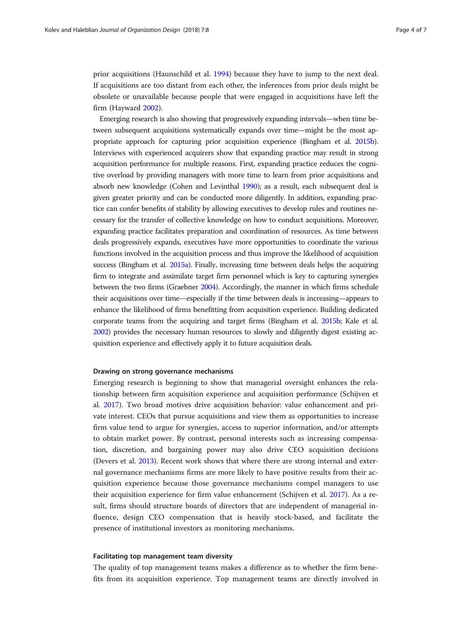prior acquisitions (Haunschild et al. [1994](#page-6-0)) because they have to jump to the next deal. If acquisitions are too distant from each other, the inferences from prior deals might be obsolete or unavailable because people that were engaged in acquisitions have left the firm (Hayward [2002](#page-6-0)).

Emerging research is also showing that progressively expanding intervals—when time between subsequent acquisitions systematically expands over time—might be the most appropriate approach for capturing prior acquisition experience (Bingham et al. [2015b](#page-6-0)). Interviews with experienced acquirers show that expanding practice may result in strong acquisition performance for multiple reasons. First, expanding practice reduces the cognitive overload by providing managers with more time to learn from prior acquisitions and absorb new knowledge (Cohen and Levinthal [1990\)](#page-6-0); as a result, each subsequent deal is given greater priority and can be conducted more diligently. In addition, expanding practice can confer benefits of stability by allowing executives to develop rules and routines necessary for the transfer of collective knowledge on how to conduct acquisitions. Moreover, expanding practice facilitates preparation and coordination of resources. As time between deals progressively expands, executives have more opportunities to coordinate the various functions involved in the acquisition process and thus improve the likelihood of acquisition success (Bingham et al. [2015a\)](#page-6-0). Finally, increasing time between deals helps the acquiring firm to integrate and assimilate target firm personnel which is key to capturing synergies between the two firms (Graebner [2004](#page-6-0)). Accordingly, the manner in which firms schedule their acquisitions over time—especially if the time between deals is increasing—appears to enhance the likelihood of firms benefitting from acquisition experience. Building dedicated corporate teams from the acquiring and target firms (Bingham et al. [2015b;](#page-6-0) Kale et al. [2002\)](#page-7-0) provides the necessary human resources to slowly and diligently digest existing acquisition experience and effectively apply it to future acquisition deals.

#### Drawing on strong governance mechanisms

Emerging research is beginning to show that managerial oversight enhances the relationship between firm acquisition experience and acquisition performance (Schijven et al. [2017](#page-7-0)). Two broad motives drive acquisition behavior: value enhancement and private interest. CEOs that pursue acquisitions and view them as opportunities to increase firm value tend to argue for synergies, access to superior information, and/or attempts to obtain market power. By contrast, personal interests such as increasing compensation, discretion, and bargaining power may also drive CEO acquisition decisions (Devers et al. [2013](#page-6-0)). Recent work shows that where there are strong internal and external governance mechanisms firms are more likely to have positive results from their acquisition experience because those governance mechanisms compel managers to use their acquisition experience for firm value enhancement (Schijven et al. [2017\)](#page-7-0). As a result, firms should structure boards of directors that are independent of managerial influence, design CEO compensation that is heavily stock-based, and facilitate the presence of institutional investors as monitoring mechanisms.

#### Facilitating top management team diversity

The quality of top management teams makes a difference as to whether the firm benefits from its acquisition experience. Top management teams are directly involved in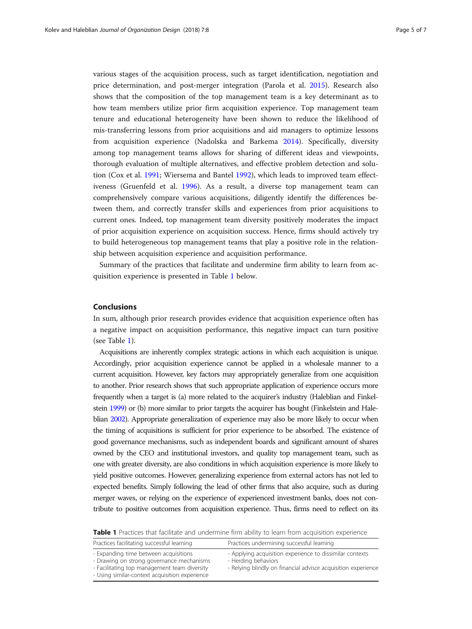various stages of the acquisition process, such as target identification, negotiation and price determination, and post-merger integration (Parola et al. [2015](#page-7-0)). Research also shows that the composition of the top management team is a key determinant as to how team members utilize prior firm acquisition experience. Top management team tenure and educational heterogeneity have been shown to reduce the likelihood of mis-transferring lessons from prior acquisitions and aid managers to optimize lessons from acquisition experience (Nadolska and Barkema [2014](#page-7-0)). Specifically, diversity among top management teams allows for sharing of different ideas and viewpoints, thorough evaluation of multiple alternatives, and effective problem detection and solution (Cox et al. [1991;](#page-6-0) Wiersema and Bantel [1992](#page-7-0)), which leads to improved team effectiveness (Gruenfeld et al. [1996](#page-6-0)). As a result, a diverse top management team can comprehensively compare various acquisitions, diligently identify the differences between them, and correctly transfer skills and experiences from prior acquisitions to current ones. Indeed, top management team diversity positively moderates the impact of prior acquisition experience on acquisition success. Hence, firms should actively try to build heterogeneous top management teams that play a positive role in the relationship between acquisition experience and acquisition performance.

Summary of the practices that facilitate and undermine firm ability to learn from acquisition experience is presented in Table 1 below.

#### Conclusions

In sum, although prior research provides evidence that acquisition experience often has a negative impact on acquisition performance, this negative impact can turn positive (see Table 1).

Acquisitions are inherently complex strategic actions in which each acquisition is unique. Accordingly, prior acquisition experience cannot be applied in a wholesale manner to a current acquisition. However, key factors may appropriately generalize from one acquisition to another. Prior research shows that such appropriate application of experience occurs more frequently when a target is (a) more related to the acquirer's industry (Haleblian and Finkelstein [1999\)](#page-6-0) or (b) more similar to prior targets the acquirer has bought (Finkelstein and Haleblian [2002\)](#page-6-0). Appropriate generalization of experience may also be more likely to occur when the timing of acquisitions is sufficient for prior experience to be absorbed. The existence of good governance mechanisms, such as independent boards and significant amount of shares owned by the CEO and institutional investors, and quality top management team, such as one with greater diversity, are also conditions in which acquisition experience is more likely to yield positive outcomes. However, generalizing experience from external actors has not led to expected benefits. Simply following the lead of other firms that also acquire, such as during merger waves, or relying on the experience of experienced investment banks, does not contribute to positive outcomes from acquisition experience. Thus, firms need to reflect on its

Table 1 Practices that facilitate and undermine firm ability to learn from acquisition experience

| Practices facilitating successful learning                                                                                                                                           | Practices undermining successful learning                                                                                                        |
|--------------------------------------------------------------------------------------------------------------------------------------------------------------------------------------|--------------------------------------------------------------------------------------------------------------------------------------------------|
| - Expanding time between acquisitions<br>- Drawing on strong governance mechanisms<br>- Facilitating top management team diversity<br>- Using similar-context acquisition experience | - Applying acquisition experience to dissimilar contexts<br>- Herding behaviors<br>- Relying blindly on financial advisor acquisition experience |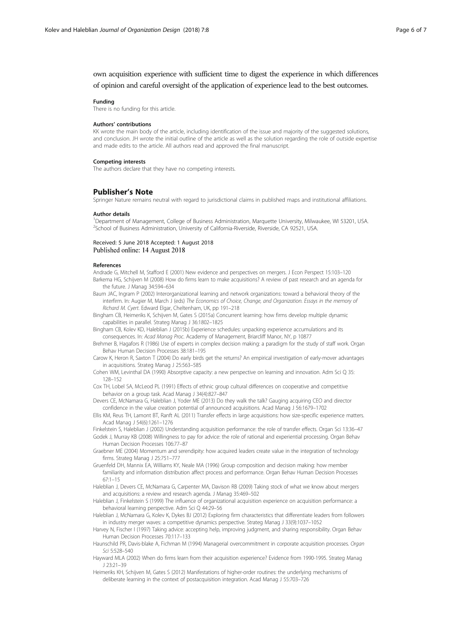<span id="page-6-0"></span>own acquisition experience with sufficient time to digest the experience in which differences of opinion and careful oversight of the application of experience lead to the best outcomes.

#### Funding

There is no funding for this article.

#### Authors' contributions

KK wrote the main body of the article, including identification of the issue and majority of the suggested solutions, and conclusion. JH wrote the initial outline of the article as well as the solution regarding the role of outside expertise and made edits to the article. All authors read and approved the final manuscript.

#### Competing interests

The authors declare that they have no competing interests.

#### Publisher's Note

Springer Nature remains neutral with regard to jurisdictional claims in published maps and institutional affiliations.

#### Author details

<sup>1</sup>Department of Management, College of Business Administration, Marquette University, Milwaukee, WI 53201, USA. <sup>2</sup>School of Business Administration, University of California-Riverside, Riverside, CA 92521, USA.

# Received: 5 June 2018 Accepted: 1 August 2018<br>Published online: 14 August 2018

#### References

Andrade G, Mitchell M, Stafford E (2001) New evidence and perspectives on mergers. J Econ Perspect 15:103–120 Barkema HG, Schijven M (2008) How do firms learn to make acquisitions? A review of past research and an agenda for the future. J Manag 34:594–634

- Baum JAC, Ingram P (2002) Interorganizational learning and network organizations: toward a behavioral theory of the interfirm. In: Augier M, March J (eds) The Economics of Choice, Change, and Organization. Essays in the memory of Richard M. Cyert. Edward Elgar, Cheltenham, UK, pp 191–218
- Bingham CB, Heimeriks K, Schijven M, Gates S (2015a) Concurrent learning: how firms develop multiple dynamic capabilities in parallel. Strateg Manag J 36:1802–1825
- Bingham CB, Kolev KD, Haleblian J (2015b) Experience schedules: unpacking experience accumulations and its consequences. In: Acad Manag Proc. Academy of Management, Briarcliff Manor, NY, p 10877
- Brehmer B, Hagafors R (1986) Use of experts in complex decision making: a paradigm for the study of staff work. Organ Behav Human Decision Processes 38:181–195
- Carow K, Heron R, Saxton T (2004) Do early birds get the returns? An empirical investigation of early-mover advantages in acquisitions. Strateg Manag J 25:563–585
- Cohen WM, Levinthal DA (1990) Absorptive capacity: a new perspective on learning and innovation. Adm Sci Q 35: 128–152
- Cox TH, Lobel SA, McLeod PL (1991) Effects of ethnic group cultural differences on cooperative and competitive behavior on a group task. Acad Manag J 34(4):827–847

Devers CE, McNamara G, Haleblian J, Yoder ME (2013) Do they walk the talk? Gauging acquiring CEO and director confidence in the value creation potential of announced acquisitions. Acad Manag J 56:1679–1702

Ellis KM, Reus TH, Lamont BT, Ranft AL (2011) Transfer effects in large acquisitions: how size-specific experience matters. Acad Manag J 54(6):1261–1276

Finkelstein S, Haleblian J (2002) Understanding acquisition performance: the role of transfer effects. Organ Sci 13:36–47 Godek J, Murray KB (2008) Willingness to pay for advice: the role of rational and experiential processing. Organ Behav

- Human Decision Processes 106:77–87 Graebner ME (2004) Momentum and serendipity: how acquired leaders create value in the integration of technology
- firms. Strateg Manag J 25:751–777
- Gruenfeld DH, Mannix EA, Williams KY, Neale MA (1996) Group composition and decision making: how member familiarity and information distribution affect process and performance. Organ Behav Human Decision Processes 67:1–15

Haleblian J, Devers CE, McNamara G, Carpenter MA, Davison RB (2009) Taking stock of what we know about mergers and acquisitions: a review and research agenda. J Manag 35:469–502

Haleblian J, Finkelstein S (1999) The influence of organizational acquisition experience on acquisition performance: a behavioral learning perspective. Adm Sci Q 44:29–56

Haleblian J, McNamara G, Kolev K, Dykes BJ (2012) Exploring firm characteristics that differentiate leaders from followers in industry merger waves: a competitive dynamics perspective. Strateg Manag J 33(9):1037–1052

Harvey N, Fischer I (1997) Taking advice: accepting help, improving judgment, and sharing responsibility. Organ Behav Human Decision Processes 70:117–133

- Haunschild PR, Davis-blake A, Fichman M (1994) Managerial overcommitment in corporate acquisition processes. Organ Sci 5:528–540
- Hayward MLA (2002) When do firms learn from their acquisition experience? Evidence from 1990-1995. Strateg Manag J 23:21–39

Heimeriks KH, Schijven M, Gates S (2012) Manifestations of higher-order routines: the underlying mechanisms of deliberate learning in the context of postacquisition integration. Acad Manag J 55:703–726